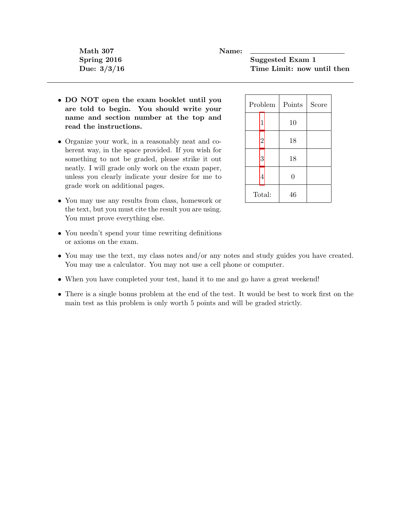Math 307 Name:

Spring 2016 Suggested Exam 1 Due:  $3/3/16$  Time Limit: now until then

- DO NOT open the exam booklet until you are told to begin. You should write your name and section number at the top and read the instructions.
- Organize your work, in a reasonably neat and coherent way, in the space provided. If you wish for something to not be graded, please strike it out neatly. I will grade only work on the exam paper, unless you clearly indicate your desire for me to grade work on additional pages.
- You may use any results from class, homework or the text, but you must cite the result you are using. You must prove everything else.

| Problem        | Points   | Score |
|----------------|----------|-------|
| 1              | 10       |       |
| $\overline{2}$ | 18       |       |
| 3              | 18       |       |
| 4              | $\theta$ |       |
| Total:         | 46       |       |

- You needn't spend your time rewriting definitions or axioms on the exam.
- You may use the text, my class notes and/or any notes and study guides you have created. You may use a calculator. You may not use a cell phone or computer.
- When you have completed your test, hand it to me and go have a great weekend!
- There is a single bonus problem at the end of the test. It would be best to work first on the main test as this problem is only worth 5 points and will be graded strictly.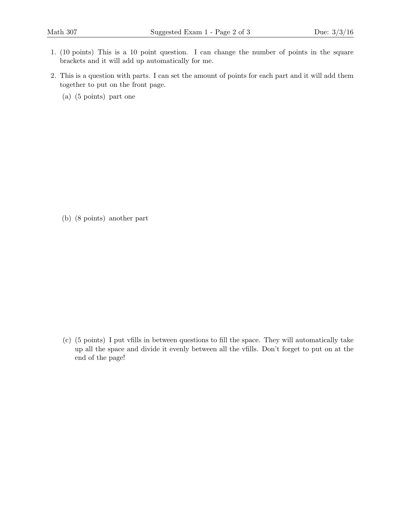- <span id="page-1-0"></span>1. (10 points) This is a 10 point question. I can change the number of points in the square brackets and it will add up automatically for me.
- <span id="page-1-1"></span>2. This is a question with parts. I can set the amount of points for each part and it will add them together to put on the front page.
	- (a) (5 points) part one

(b) (8 points) another part

(c) (5 points) I put vfills in between questions to fill the space. They will automatically take up all the space and divide it evenly between all the vfills. Don't forget to put on at the end of the page!